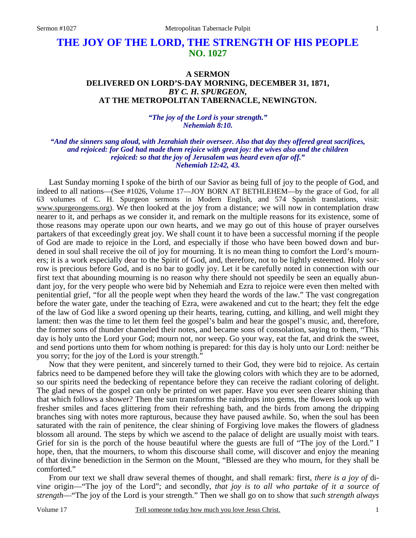# **THE JOY OF THE LORD, THE STRENGTH OF HIS PEOPLE NO. 1027**

## **A SERMON DELIVERED ON LORD'S-DAY MORNING, DECEMBER 31, 1871,** *BY C. H. SPURGEON,*  **AT THE METROPOLITAN TABERNACLE, NEWINGTON.**

*"The joy of the Lord is your strength." Nehemiah 8:10.* 

#### *"And the sinners sang aloud, with Jezrahiah their overseer. Also that day they offered great sacrifices, and rejoiced: for God had made them rejoice with great joy: the wives also and the children rejoiced: so that the joy of Jerusalem was heard even afar off." Nehemiah 12:42, 43.*

Last Sunday morning I spoke of the birth of our Savior as being full of joy to the people of God, and indeed to all nations—(See #1026, Volume 17—JOY BORN AT BETHLEHEM—by the grace of God, for all 63 volumes of C. H. Spurgeon sermons in Modern English, and 574 Spanish translations, visit: www.spurgeongems.org). We then looked at the joy from a distance; we will now in contemplation draw nearer to it, and perhaps as we consider it, and remark on the multiple reasons for its existence, some of those reasons may operate upon our own hearts, and we may go out of this house of prayer ourselves partakers of that exceedingly great joy. We shall count it to have been a successful morning if the people of God are made to rejoice in the Lord, and especially if those who have been bowed down and burdened in soul shall receive the oil of joy for mourning. It is no mean thing to comfort the Lord's mourners; it is a work especially dear to the Spirit of God, and, therefore, not to be lightly esteemed. Holy sorrow is precious before God, and is no bar to godly joy. Let it be carefully noted in connection with our first text that abounding mourning is no reason why there should not speedily be seen an equally abundant joy, for the very people who were bid by Nehemiah and Ezra to rejoice were even then melted with penitential grief, "for all the people wept when they heard the words of the law." The vast congregation before the water gate, under the teaching of Ezra, were awakened and cut to the heart; they felt the edge of the law of God like a sword opening up their hearts, tearing, cutting, and killing, and well might they lament: then was the time to let them feel the gospel's balm and hear the gospel's music, and, therefore, the former sons of thunder channeled their notes, and became sons of consolation, saying to them, "This day is holy unto the Lord your God; mourn not, nor weep. Go your way, eat the fat, and drink the sweet, and send portions unto them for whom nothing is prepared: for this day is holy unto our Lord: neither be you sorry; for the joy of the Lord is your strength."

Now that they were penitent, and sincerely turned to their God, they were bid to rejoice. As certain fabrics need to be dampened before they will take the glowing colors with which they are to be adorned, so our spirits need the bedecking of repentance before they can receive the radiant coloring of delight. The glad news of the gospel can only be printed on wet paper. Have you ever seen clearer shining than that which follows a shower? Then the sun transforms the raindrops into gems, the flowers look up with fresher smiles and faces glittering from their refreshing bath, and the birds from among the dripping branches sing with notes more rapturous, because they have paused awhile. So, when the soul has been saturated with the rain of penitence, the clear shining of Forgiving love makes the flowers of gladness blossom all around. The steps by which we ascend to the palace of delight are usually moist with tears. Grief for sin is the porch of the house beautiful where the guests are full of "The joy of the Lord." I hope, then, that the mourners, to whom this discourse shall come, will discover and enjoy the meaning of that divine benediction in the Sermon on the Mount, "Blessed are they who mourn, for they shall be comforted."

From our text we shall draw several themes of thought, and shall remark: first, *there is a joy of* divin*e* origin—"The joy of the Lord"; and secondly, *that joy is to all who partake of it a source of strength*—"The joy of the Lord is your strength." Then we shall go on to show that *such strength always*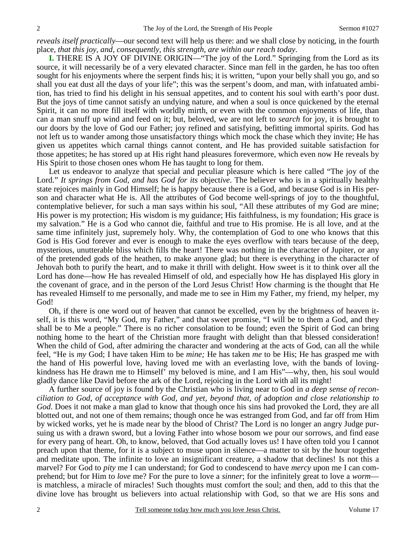*reveals itself practically*—our second text will help us there: and we shall close by noticing, in the fourth place, *that this joy, and, consequently, this strength, are within our reach today*.

**I.** THERE IS A JOY OF DIVINE ORIGIN—"The joy of the Lord." Springing from the Lord as its source, it will necessarily be of a very elevated character. Since man fell in the garden, he has too often sought for his enjoyments where the serpent finds his; it is written, "upon your belly shall you go, and so shall you eat dust all the days of your life"; this was the serpent's doom, and man, with infatuated ambition, has tried to find his delight in his sensual appetites, and to content his soul with earth's poor dust. But the joys of time cannot satisfy an undying nature, and when a soul is once quickened by the eternal Spirit, it can no more fill itself with worldly mirth, or even with the common enjoyments of life, than can a man snuff up wind and feed on it; but, beloved, we are not left to *search* for joy, it is brought to our doors by the love of God our Father; joy refined and satisfying, befitting immortal spirits. God has not left us to wander among those unsatisfactory things which mock the chase which they invite; He has given us appetites which carnal things cannot content, and He has provided suitable satisfaction for those appetites; he has stored up at His right hand pleasures forevermore, which even now He reveals by His Spirit to those chosen ones whom He has taught to long for them.

Let us endeavor to analyze that special and peculiar pleasure which is here called "The joy of the Lord." *It springs from God, and has God for its* object*ive*. The believer who is in a spiritually healthy state rejoices mainly in God Himself; he is happy because there is a God, and because God is in His person and character what He is. All the attributes of God become well-springs of joy to the thoughtful, contemplative believer, for such a man says within his soul, "All these attributes of my God are mine; His power is my protection; His wisdom is my guidance; His faithfulness, is my foundation; His grace is my salvation." He is a God who cannot die, faithful and true to His promise. He is all love, and at the same time infinitely just, supremely holy. Why, the contemplation of God to one who knows that this God is His God forever and ever is enough to make the eyes overflow with tears because of the deep, mysterious, unutterable bliss which fills the heart! There was nothing in the character of Jupiter, or any of the pretended gods of the heathen, to make anyone glad; but there is everything in the character of Jehovah both to purify the heart, and to make it thrill with delight. How sweet is it to think over all the Lord has done—how He has revealed Himself of old, and especially how He has displayed His glory in the covenant of grace, and in the person of the Lord Jesus Christ! How charming is the thought that He has revealed Himself to me personally, and made me to see in Him my Father, my friend, my helper, my God!

Oh, if there is one word out of heaven that cannot be excelled, even by the brightness of heaven itself, it is this word, "My God, my Father," and that sweet promise, "I will be to them a God, and they shall be to Me a people." There is no richer consolation to be found; even the Spirit of God can bring nothing home to the heart of the Christian more fraught with delight than that blessed consideration! When the child of God, after admiring the character and wondering at the acts of God, can all the while feel, "He is *my* God; I have taken Him to be *mine;* He has taken *me* to be His; He has grasped me with the hand of His powerful love, having loved me with an everlasting love, with the bands of lovingkindness has He drawn me to Himself' my beloved is mine, and I am His"—why, then, his soul would gladly dance like David before the ark of the Lord, rejoicing in the Lord with all its might!

A further source of joy is found by the Christian who is living near to God in *a deep sense of reconciliation to God, of acceptance with God, and yet, beyond that, of* adop*tion and close relationship to God*. Does it not make a man glad to know that though once his sins had provoked the Lord, they are all blotted out, and not one of them remains; though once he was estranged from God, and far off from Him by wicked works, yet he is made near by the blood of Christ? The Lord is no longer an angry Judge pursuing us with a drawn sword, but a loving Father into whose bosom we pour our sorrows, and find ease for every pang of heart. Oh, to know, beloved, that God actually loves us! I have often told you I cannot preach upon that theme, for it is a subject to muse upon in silence—a matter to sit by the hour together and meditate upon. The infinite to love an insignificant creature, a shadow that declines! Is not this a marvel? For God to *pity* me I can understand; for God to condescend to have *mercy* upon me I can comprehend; but for Him to *love* me? For the pure to love a *sinner*; for the infinitely great to love a *worm* is matchless, a miracle of miracles! Such thoughts must comfort the soul; and then, add to this that the divine love has brought us believers into actual relationship with God, so that we are His sons and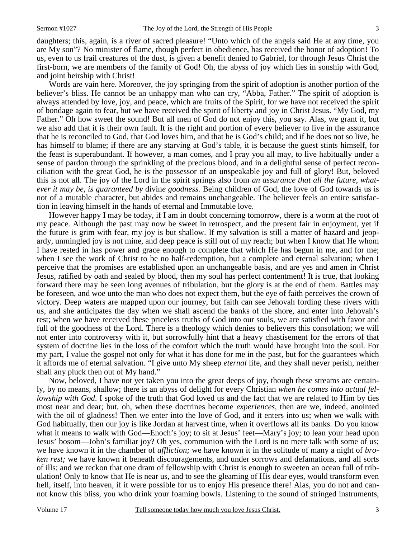daughters; this, again, is a river of sacred pleasure! "Unto which of the angels said He at any time, you are My son"? No minister of flame, though perfect in obedience, has received the honor of adoption! To us, even to us frail creatures of the dust, is given a benefit denied to Gabriel, for through Jesus Christ the first-born, we are members of the family of God! Oh, the abyss of joy which lies in sonship with God, and joint heirship with Christ!

Words are vain here. Moreover, the joy springing from the spirit of adoption is another portion of the believer's bliss. He cannot be an unhappy man who can cry, "Abba, Father." The spirit of adoption is always attended by love, joy, and peace, which are fruits of the Spirit, for we have not received the spirit of bondage again to fear, but we have received the spirit of liberty and joy in Christ Jesus. "My God, my Father." Oh how sweet the sound! But all men of God do not enjoy this, you say. Alas, we grant it, but we also add that it is their own fault. It is the right and portion of every believer to live in the assurance that he is reconciled to God, that God loves him, and that he is God's child; and if he does not so live, he has himself to blame; if there are any starving at God's table, it is because the guest stints himself, for the feast is superabundant. If however, a man comes, and I pray you all may, to live habitually under a sense of pardon through the sprinkling of the precious blood, and in a delightful sense of perfect reconciliation with the great God, he is the possessor of an unspeakable joy and full of glory! But, beloved this is not all. The joy of the Lord in the spirit springs also from *an assurance that all the future, whatever it may be, is guaranteed by* divin*e goodness.* Being children of God, the love of God towards us is not of a mutable character, but abides and remains unchangeable. The believer feels an entire satisfaction in leaving himself in the hands of eternal and Immutable love.

However happy I may be today, if I am in doubt concerning tomorrow, there is a worm at the root of my peace. Although the past may now be sweet in retrospect, and the present fair in enjoyment, yet if the future is grim with fear, my joy is but shallow. If my salvation is still a matter of hazard and jeopardy, unmingled joy is not mine, and deep peace is still out of my reach; but when I know that He whom I have rested in has power and grace enough to complete that which He has begun in me, and for me; when I see the work of Christ to be no half-redemption, but a complete and eternal salvation; when I perceive that the promises are established upon an unchangeable basis, and are yes and amen in Christ Jesus, ratified by oath and sealed by blood, then my soul has perfect contentment! It is true, that looking forward there may be seen long avenues of tribulation, but the glory is at the end of them. Battles may be foreseen, and woe unto the man who does not expect them, but the eye of faith perceives the crown of victory. Deep waters are mapped upon our journey, but faith can see Jehovah fording these rivers with us, and she anticipates the day when we shall ascend the banks of the shore, and enter into Jehovah's rest; when we have received these priceless truths of God into our souls, we are satisfied with favor and full of the goodness of the Lord. There is a theology which denies to believers this consolation; we will not enter into controversy with it, but sorrowfully hint that a heavy chastisement for the errors of that system of doctrine lies in the loss of the comfort which the truth would have brought into the soul. For my part, I value the gospel not only for what it has done for me in the past, but for the guarantees which it affords me of eternal salvation. "I give unto My sheep *eternal* life, and they shall never perish, neither shall any pluck then out of My hand."

Now, beloved, I have not yet taken you into the great deeps of joy, though these streams are certainly, by no means, shallow; there is an abyss of delight for every Christian *when he comes into actual fellowship with God.* I spoke of the truth that God loved us and the fact that we are related to Him by ties most near and dear; but, oh, when these doctrines become *experiences,* then are we, indeed, anointed with the oil of gladness! Then we enter into the love of God, and it enters into us; when we walk with God habitually, then our joy is like Jordan at harvest time, when it overflows all its banks. Do you know what it means to walk with God—Enoch's joy; to sit at Jesus' feet—Mary's joy; to lean your head upon Jesus' bosom—John's familiar joy? Oh yes, communion with the Lord is no mere talk with some of us; we have known it in the chamber of *affliction;* we have known it in the solitude of many a night of *broken rest;* we have known it beneath discouragements, and under sorrows and defamations, and all sorts of ills; and we reckon that one dram of fellowship with Christ is enough to sweeten an ocean full of tribulation! Only to know that He is near us, and to see the gleaming of His dear eyes, would transform even hell, itself, into heaven, if it were possible for us to enjoy His presence there! Alas, you do not and cannot know this bliss, you who drink your foaming bowls. Listening to the sound of stringed instruments,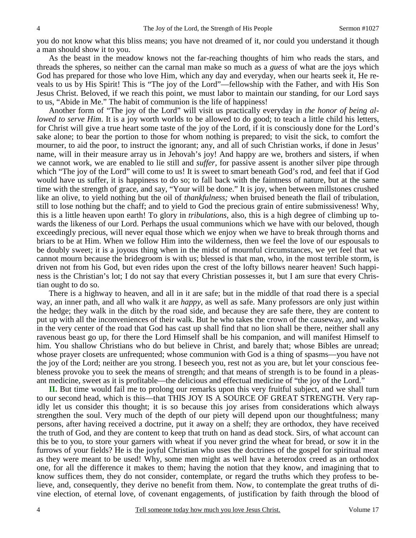you do not know what this bliss means; you have not dreamed of it, nor could you understand it though a man should show it to you.

As the beast in the meadow knows not the far-reaching thoughts of him who reads the stars, and threads the spheres, so neither can the carnal man make so much as a *guess* of what are the joys which God has prepared for those who love Him, which any day and everyday, when our hearts seek it, He reveals to us by His Spirit! This is "The joy of the Lord"—fellowship with the Father, and with His Son Jesus Christ. Beloved, if we reach this point, we must labor to maintain our standing, for our Lord says to us, "Abide in Me." The habit of communion is the life of happiness!

Another form of "The joy of the Lord" will visit us practically everyday in *the honor of being allowed to serve Him*. It is a joy worth worlds to be allowed to do good; to teach a little child his letters, for Christ will give a true heart some taste of the joy of the Lord, if it is consciously done for the Lord's sake alone; to bear the portion to those for whom nothing is prepared; to visit the sick, to comfort the mourner, to aid the poor, to instruct the ignorant; any, and all of such Christian works, if done in Jesus' name, will in their measure array us in Jehovah's joy! And happy are we, brothers and sisters, if when we cannot work, we are enabled to lie still and *suffer,* for passive assent is another silver pipe through which "The joy of the Lord" will come to us! It is sweet to smart beneath God's rod, and feel that if God would have us suffer, it is happiness to do so; to fall back with the faintness of nature, but at the same time with the strength of grace, and say, "Your will be done." It is joy, when between millstones crushed like an olive, to yield nothing but the oil of *thankfulness;* when bruised beneath the flail of tribulation, still to lose nothing but the chaff; and to yield to God the precious grain of entire submissiveness! Why, this is a little heaven upon earth! To glory in *tribulations*, also, this is a high degree of climbing up towards the likeness of our Lord. Perhaps the usual communions which we have with our beloved, though exceedingly precious, will never equal those which we enjoy when we have to break through thorns and briars to be at Him. When we follow Him into the wilderness, then we feel the love of our espousals to be doubly sweet; it is a joyous thing when in the midst of mournful circumstances, we yet feel that we cannot mourn because the bridegroom is with us; blessed is that man, who, in the most terrible storm, is driven not from his God, but even rides upon the crest of the lofty billows nearer heaven! Such happiness is the Christian's lot; I do not say that every Christian possesses it, but I am sure that every Christian ought to do so.

There is a highway to heaven, and all in it are safe; but in the middle of that road there is a special way, an inner path, and all who walk it are *happy,* as well as safe. Many professors are only just within the hedge; they walk in the ditch by the road side, and because they are safe there, they are content to put up with all the inconveniences of their walk. But he who takes the crown of the causeway, and walks in the very center of the road that God has cast up shall find that no lion shall be there, neither shall any ravenous beast go up, for there the Lord Himself shall be his companion, and will manifest Himself to him. You shallow Christians who do but believe in Christ, and barely that; whose Bibles are unread; whose prayer closets are unfrequented; whose communion with God is a thing of spasms—you have not the joy of the Lord; neither are you strong. I beseech you, rest not as you are, but let your conscious feebleness provoke you to seek the means of strength; and that means of strength is to be found in a pleasant medicine, sweet as it is profitable—the delicious and effectual medicine of "the joy of the Lord."

**II.** But time would fail me to prolong our remarks upon this very fruitful subject, and we shall turn to our second head, which is this—that THIS JOY IS A SOURCE OF GREAT STRENGTH. Very rapidly let us consider this thought; it is so because this joy arises from considerations which always strengthen the soul. Very much of the depth of our piety will depend upon our thoughtfulness; many persons, after having received a doctrine, put it away on a shelf; they are orthodox, they have received the truth of God, and they are content to keep that truth on hand as dead stock. Sirs, of what account can this be to you, to store your garners with wheat if you never grind the wheat for bread, or sow it in the furrows of your fields? He is the joyful Christian who uses the doctrines of the gospel for spiritual meat as they were meant to be used! Why, some men might as well have a heterodox creed as an orthodox one, for all the difference it makes to them; having the notion that they know, and imagining that to know suffices them, they do not consider, contemplate, or regard the truths which they profess to believe, and, consequently, they derive no benefit from them. Now, to contemplate the great truths of divine election, of eternal love, of covenant engagements, of justification by faith through the blood of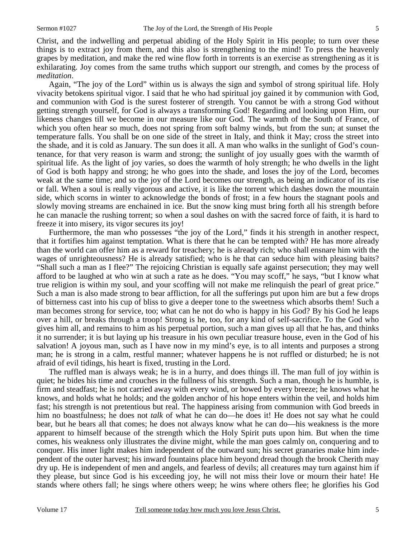Christ, and the indwelling and perpetual abiding of the Holy Spirit in His people; to turn over these things is to extract joy from them, and this also is strengthening to the mind! To press the heavenly grapes by meditation, and make the red wine flow forth in torrents is an exercise as strengthening as it is exhilarating. Joy comes from the same truths which support our strength, and comes by the process of *meditation*.

Again, "The joy of the Lord" within us is always the sign and symbol of strong spiritual life. Holy vivacity betokens spiritual vigor. I said that he who had spiritual joy gained it by communion with God, and communion with God is the surest fosterer of strength. You cannot be with a strong God without getting strength yourself, for God is always a transforming God! Regarding and looking upon Him, our likeness changes till we become in our measure like our God. The warmth of the South of France, of which you often hear so much, does not spring from soft balmy winds, but from the sun; at sunset the temperature falls. You shall be on one side of the street in Italy, and think it May; cross the street into the shade, and it is cold as January. The sun does it all. A man who walks in the sunlight of God's countenance, for that very reason is warm and strong; the sunlight of joy usually goes with the warmth of spiritual life. As the light of joy varies, so does the warmth of holy strength; he who dwells in the light of God is both happy and strong; he who goes into the shade, and loses the joy of the Lord, becomes weak at the same time; and so the joy of the Lord becomes our strength, as being an indicator of its rise or fall. When a soul is really vigorous and active, it is like the torrent which dashes down the mountain side, which scorns in winter to acknowledge the bonds of frost; in a few hours the stagnant pools and slowly moving streams are enchained in ice. But the snow king must bring forth all his strength before he can manacle the rushing torrent; so when a soul dashes on with the sacred force of faith, it is hard to freeze it into misery, its vigor secures its joy!

Furthermore, the man who possesses "the joy of the Lord," finds it his strength in another respect, that it fortifies him against temptation. What is there that he can be tempted with? He has more already than the world can offer him as a reward for treachery; he is already rich; who shall ensnare him with the wages of unrighteousness? He is already satisfied; who is he that can seduce him with pleasing baits? "Shall such a man as I flee?" The rejoicing Christian is equally safe against persecution; they may well afford to be laughed at who win at such a rate as he does. "You may scoff," he says, "but I know what true religion is within my soul, and your scoffing will not make me relinquish the pearl of great price." Such a man is also made strong to bear affliction, for all the sufferings put upon him are but a few drops of bitterness cast into his cup of bliss to give a deeper tone to the sweetness which absorbs them! Such a man becomes strong for service, too; what can he not do who is happy in his God? By his God he leaps over a hill, or breaks through a troop! Strong is he, too, for any kind of self-sacrifice. To the God who gives him all, and remains to him as his perpetual portion, such a man gives up all that he has, and thinks it no surrender; it is but laying up his treasure in his own peculiar treasure house, even in the God of his salvation! A joyous man, such as I have now in my mind's eye, is to all intents and purposes a strong man; he is strong in a calm, restful manner; whatever happens he is not ruffled or disturbed; he is not afraid of evil tidings, his heart is fixed, trusting in the Lord.

The ruffled man is always weak; he is in a hurry, and does things ill. The man full of joy within is quiet; he bides his time and crouches in the fullness of his strength. Such a man, though he is humble, is firm and steadfast; he is not carried away with every wind, or bowed by every breeze; he knows what he knows, and holds what he holds; and the golden anchor of his hope enters within the veil, and holds him fast; his strength is not pretentious but real. The happiness arising from communion with God breeds in him no boastfulness; he does not *talk* of what he can do—he does it! He does not say what he could bear, but he bears all that comes; he does not always know what he can do—his weakness is the more apparent to himself because of the strength which the Holy Spirit puts upon him. But when the time comes, his weakness only illustrates the divine might, while the man goes calmly on, conquering and to conquer. His inner light makes him independent of the outward sun; his secret granaries make him independent of the outer harvest; his inward fountains place him beyond dread though the brook Cherith may dry up. He is independent of men and angels, and fearless of devils; all creatures may turn against him if they please, but since God is his exceeding joy, he will not miss their love or mourn their hate! He stands where others fall; he sings where others weep; he wins where others flee; he glorifies his God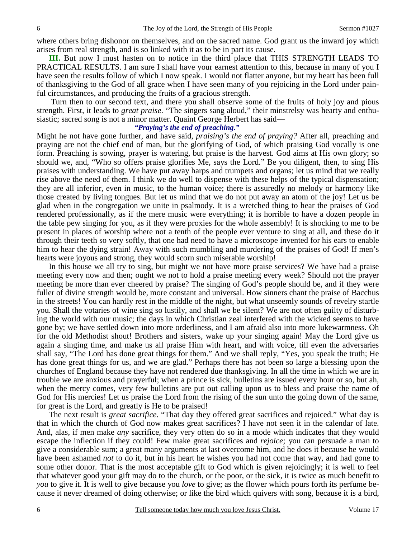where others bring dishonor on themselves, and on the sacred name. God grant us the inward joy which arises from real strength, and is so linked with it as to be in part its cause.

**III.** But now I must hasten on to notice in the third place that THIS STRENGTH LEADS TO PRACTICAL RESULTS. I am sure I shall have your earnest attention to this, because in many of you I have seen the results follow of which I now speak. I would not flatter anyone, but my heart has been full of thanksgiving to the God of all grace when I have seen many of you rejoicing in the Lord under painful circumstances, and producing the fruits of a gracious strength.

 Turn then to our second text, and there you shall observe some of the fruits of holy joy and pious strength. First, it leads to *great praise*. "The singers sang aloud," their minstrelsy was hearty and enthusiastic; sacred song is not a minor matter. Quaint George Herbert has said—

#### *"Praying's the end of preaching."*

Might he not have gone further, and have said, *praising's the end of praying?* After all, preaching and praying are not the chief end of man, but the glorifying of God, of which praising God vocally is one form. Preaching is sowing, prayer is watering, but praise is the harvest. God aims at His own glory; so should we, and, "Who so offers praise glorifies Me, says the Lord." Be you diligent, then, to sing His praises with understanding. We have put away harps and trumpets and organs; let us mind that we really rise above the need of them. I think we do well to dispense with these helps of the typical dispensation; they are all inferior, even in music, to the human voice; there is assuredly no melody or harmony like those created by living tongues. But let us mind that we do not put away an atom of the joy! Let us be glad when in the congregation we unite in psalmody. It is a wretched thing to hear the praises of God rendered professionally, as if the mere music were everything; it is horrible to have a dozen people in the table pew singing for you, as if they were proxies for the whole assembly! It is shocking to me to be present in places of worship where not a tenth of the people ever venture to sing at all, and these do it through their teeth so very softly, that one had need to have a microscope invented for his ears to enable him to hear the dying strain! Away with such mumbling and murdering of the praises of God! If men's hearts were joyous and strong, they would scorn such miserable worship!

In this house we all try to sing, but might we not have more praise services? We have had a praise meeting every now and then; ought we not to hold a praise meeting every week? Should not the prayer meeting be more than ever cheered by praise? The singing of God's people should be, and if they were fuller of divine strength would be, more constant and universal. How sinners chant the praise of Bacchus in the streets! You can hardly rest in the middle of the night, but what unseemly sounds of revelry startle you. Shall the votaries of wine sing so lustily, and shall we be silent? We are not often guilty of disturbing the world with our music; the days in which Christian zeal interfered with the wicked seems to have gone by; we have settled down into more orderliness, and I am afraid also into more lukewarmness. Oh for the old Methodist shout! Brothers and sisters, wake up your singing again! May the Lord give us again a singing time, and make us all praise Him with heart, and with voice, till even the adversaries shall say, "The Lord has done great things for them." And we shall reply, "Yes, you speak the truth; He has done great things for us, and we are glad." Perhaps there has not been so large a blessing upon the churches of England because they have not rendered due thanksgiving. In all the time in which we are in trouble we are anxious and prayerful; when a prince is sick, bulletins are issued every hour or so, but ah, when the mercy comes, very few bulletins are put out calling upon us to bless and praise the name of God for His mercies! Let us praise the Lord from the rising of the sun unto the going down of the same, for great is the Lord, and greatly is He to be praised!

The next result is *great sacrifice*. "That day they offered great sacrifices and rejoiced." What day is that in which the church of God now makes great sacrifices? I have not seen it in the calendar of late. And, alas, if men make *any* sacrifice, they very often do so in a mode which indicates that they would escape the inflection if they could! Few make great sacrifices and *rejoice;* you can persuade a man to give a considerable sum; a great many arguments at last overcome him, and he does it because he would have been ashamed *not* to do it, but in his heart he wishes you had not come that way, and had gone to some other donor. That is the most acceptable gift to God which is given rejoicingly; it is well to feel that whatever good your gift may do to the church, or the poor, or the sick, it is twice as much benefit to *you* to give it. It is well to give because you *love* to give; as the flower which pours forth its perfume because it never dreamed of doing otherwise; or like the bird which quivers with song, because it is a bird,

6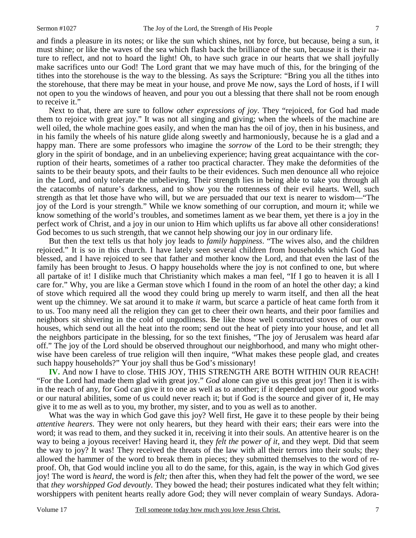and finds a pleasure in its notes; or like the sun which shines, not by force, but because, being a sun, it must shine; or like the waves of the sea which flash back the brilliance of the sun, because it is their nature to reflect, and not to hoard the light! Oh, to have such grace in our hearts that we shall joyfully make sacrifices unto our God! The Lord grant that we may have much of this, for the bringing of the tithes into the storehouse is the way to the blessing. As says the Scripture: "Bring you all the tithes into the storehouse, that there may be meat in your house, and prove Me now, says the Lord of hosts, if I will not open to you the windows of heaven, and pour you out a blessing that there shall not be room enough to receive it."

Next to that, there are sure to follow *other expressions of joy*. They "rejoiced, for God had made them to rejoice with great joy." It was not all singing and giving; when the wheels of the machine are well oiled, the whole machine goes easily, and when the man has the oil of joy, then in his business, and in his family the wheels of his nature glide along sweetly and harmoniously, because he is a glad and a happy man. There are some professors who imagine the *sorrow* of the Lord to be their strength; they glory in the spirit of bondage, and in an unbelieving experience; having great acquaintance with the corruption of their hearts, sometimes of a rather too practical character. They make the deformities of the saints to be their beauty spots, and their faults to be their evidences. Such men denounce all who rejoice in the Lord, and only tolerate the unbelieving. Their strength lies in being able to take you through all the catacombs of nature's darkness, and to show you the rottenness of their evil hearts. Well, such strength as that let those have who will, but we are persuaded that our text is nearer to wisdom—"The joy of the Lord is your strength." While we know something of our corruption, and mourn it; while we know something of the world's troubles, and sometimes lament as we bear them, yet there is a joy in the perfect work of Christ, and a joy in our union to Him which uplifts us far above all other considerations! God becomes to us such strength, that we cannot help showing our joy in our ordinary life.

But then the text tells us that holy joy leads to *family happiness*. "The wives also, and the children rejoiced." It is so in this church. I have lately seen several children from households which God has blessed, and I have rejoiced to see that father and mother know the Lord, and that even the last of the family has been brought to Jesus. O happy households where the joy is not confined to one, but where all partake of it! I dislike much that Christianity which makes a man feel, "If I go to heaven it is all I care for." Why, you are like a German stove which I found in the room of an hotel the other day; a kind of stove which required all the wood they could bring up merely to warm itself, and then all the heat went up the chimney. We sat around it to make *it* warm, but scarce a particle of heat came forth from it to us. Too many need all the religion they can get to cheer their own hearts, and their poor families and neighbors sit shivering in the cold of ungodliness. Be like those well constructed stoves of our own houses, which send out all the heat into the room; send out the heat of piety into your house, and let all the neighbors participate in the blessing, for so the text finishes, "The joy of Jerusalem was heard afar off." The joy of the Lord should be observed throughout our neighborhood, and many who might otherwise have been careless of true religion will then inquire, "What makes these people glad, and creates such happy households?" Your joy shall thus be God's missionary!

**IV.** And now I have to close. THIS JOY, THIS STRENGTH ARE BOTH WITHIN OUR REACH! "For the Lord had made them glad with great joy." *God* alone can give us this great joy! Then it is within the reach of any, for God can give it to one as well as to another; if it depended upon our good works or our natural abilities, some of us could never reach it; but if God is the source and giver of it, He may give it to me as well as to you, my brother, my sister, and to you as well as to another.

What was the way in which God gave this joy? Well first, He gave it to these people by their being *attentive hearers*. They were not only hearers, but they heard with their ears; their ears were into the word; it was read to them, and they sucked it in, receiving it into their souls. An attentive hearer is on the way to being a joyous receiver! Having heard it, they *felt the* pow*er of it*, and they wept. Did that seem the way to joy? It was! They received the threats of the law with all their terrors into their souls; they allowed the hammer of the word to break them in pieces; they submitted themselves to the word of reproof. Oh, that God would incline you all to do the same, for this, again, is the way in which God gives joy! The word is *heard,* the word is *felt;* then after this, when they had felt the power of the word, we see that *they worshipped God devoutly*. They bowed the head; their postures indicated what they felt within; worshippers with penitent hearts really adore God; they will never complain of weary Sundays. Adora